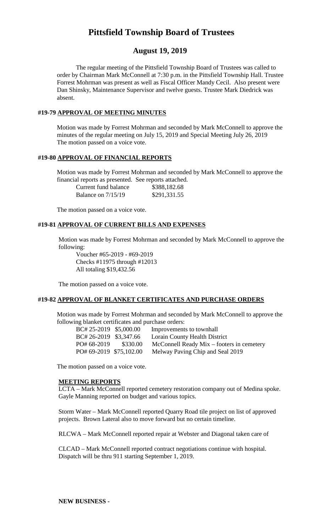# **Pittsfield Township Board of Trustees**

# **August 19, 2019**

The regular meeting of the Pittsfield Township Board of Trustees was called to order by Chairman Mark McConnell at 7:30 p.m. in the Pittsfield Township Hall. Trustee Forrest Mohrman was present as well as Fiscal Officer Mandy Cecil. Also present were Dan Shinsky, Maintenance Supervisor and twelve guests. Trustee Mark Diedrick was absent.

# **#19-79 APPROVAL OF MEETING MINUTES**

Motion was made by Forrest Mohrman and seconded by Mark McConnell to approve the minutes of the regular meeting on July 15, 2019 and Special Meeting July 26, 2019 The motion passed on a voice vote.

# **#19-80 APPROVAL OF FINANCIAL REPORTS**

Motion was made by Forrest Mohrman and seconded by Mark McConnell to approve the financial reports as presented. See reports attached.

| Current fund balance | \$388,182.68 |
|----------------------|--------------|
| Balance on $7/15/19$ | \$291,331.55 |

The motion passed on a voice vote.

# **#19-81 APPROVAL OF CURRENT BILLS AND EXPENSES**

Motion was made by Forrest Mohrman and seconded by Mark McConnell to approve the following:

Voucher #65-2019 - #69-2019 Checks #11975 through #12013 All totaling \$19,432.56

The motion passed on a voice vote.

### **#19-82 APPROVAL OF BLANKET CERTIFICATES AND PURCHASE ORDERS**

Motion was made by Forrest Mohrman and seconded by Mark McConnell to approve the following blanket certificates and purchase orders:

| BC# 25-2019 \$5,000.00  |          | Improvements to townhall                  |
|-------------------------|----------|-------------------------------------------|
| BC# 26-2019 \$3,347.66  |          | Lorain County Health District             |
| PO# 68-2019             | \$330.00 | McConnell Ready Mix – footers in cemetery |
| PO# 69-2019 \$75,102.00 |          | Melway Paving Chip and Seal 2019          |

The motion passed on a voice vote.

### **MEETING REPORTS**

LCTA – Mark McConnell reported cemetery restoration company out of Medina spoke. Gayle Manning reported on budget and various topics.

Storm Water – Mark McConnell reported Quarry Road tile project on list of approved projects. Brown Lateral also to move forward but no certain timeline.

RLCWA – Mark McConnell reported repair at Webster and Diagonal taken care of

CLCAD – Mark McConnell reported contract negotiations continue with hospital. Dispatch will be thru 911 starting September 1, 2019.